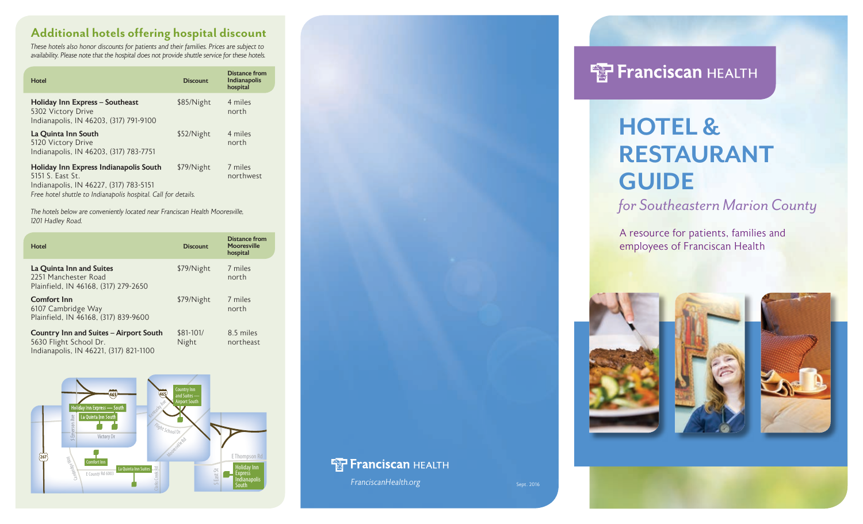## **Additional hotels offering hospital discount**

*These hotels also honor discounts for patients and their families. Prices are subject to availability. Please note that the hospital does not provide shuttle service for these hotels.*

| Hotel                                                                                                                                                                  | <b>Discount</b> | Distance from<br><b>Indianapolis</b><br>hospital |
|------------------------------------------------------------------------------------------------------------------------------------------------------------------------|-----------------|--------------------------------------------------|
| Holiday Inn Express – Southeast<br>5302 Victory Drive<br>Indianapolis, IN 46203, (317) 791-9100                                                                        | \$85/Night      | 4 miles<br>north                                 |
| La Quinta Inn South<br>5120 Victory Drive<br>Indianapolis, IN 46203, (317) 783-7751                                                                                    | \$52/Night      | 4 miles<br>north                                 |
| Holiday Inn Express Indianapolis South<br>5151 S. East St.<br>Indianapolis, IN 46227, (317) 783-5151<br>Free hotel shuttle to Indianapolis hospital. Call for details. | \$79/Night      | 7 miles<br>northwest                             |

*The hotels below are conveniently located near Franciscan Health Mooresville, 1201 Hadley Road.*

| Hotel                                                                                                      | <b>Discount</b>    | Distance from<br><b>Mooresville</b><br>hospital |
|------------------------------------------------------------------------------------------------------------|--------------------|-------------------------------------------------|
| La Quinta Inn and Suites<br>2251 Manchester Road<br>Plainfield, IN 46168, (317) 279-2650                   | \$79/Night         | 7 miles<br>north                                |
| <b>Comfort Inn</b><br>6107 Cambridge Way<br>Plainfield, IN 46168, (317) 839-9600                           | \$79/Night         | 7 miles<br>north                                |
| Country Inn and Suites – Airport South<br>5630 Flight School Dr.<br>Indianapolis, IN 46221, (317) 821-1100 | \$81-101/<br>Night | 8.5 miles<br>northeast                          |





**FranciscanHealth.org** Sept. 2016

# **FF Franciscan HEALTH**

# **HOTEL & RESTAURANT GUIDE**

*for Southeastern Marion County*

A resource for patients, families and employees of Franciscan Health